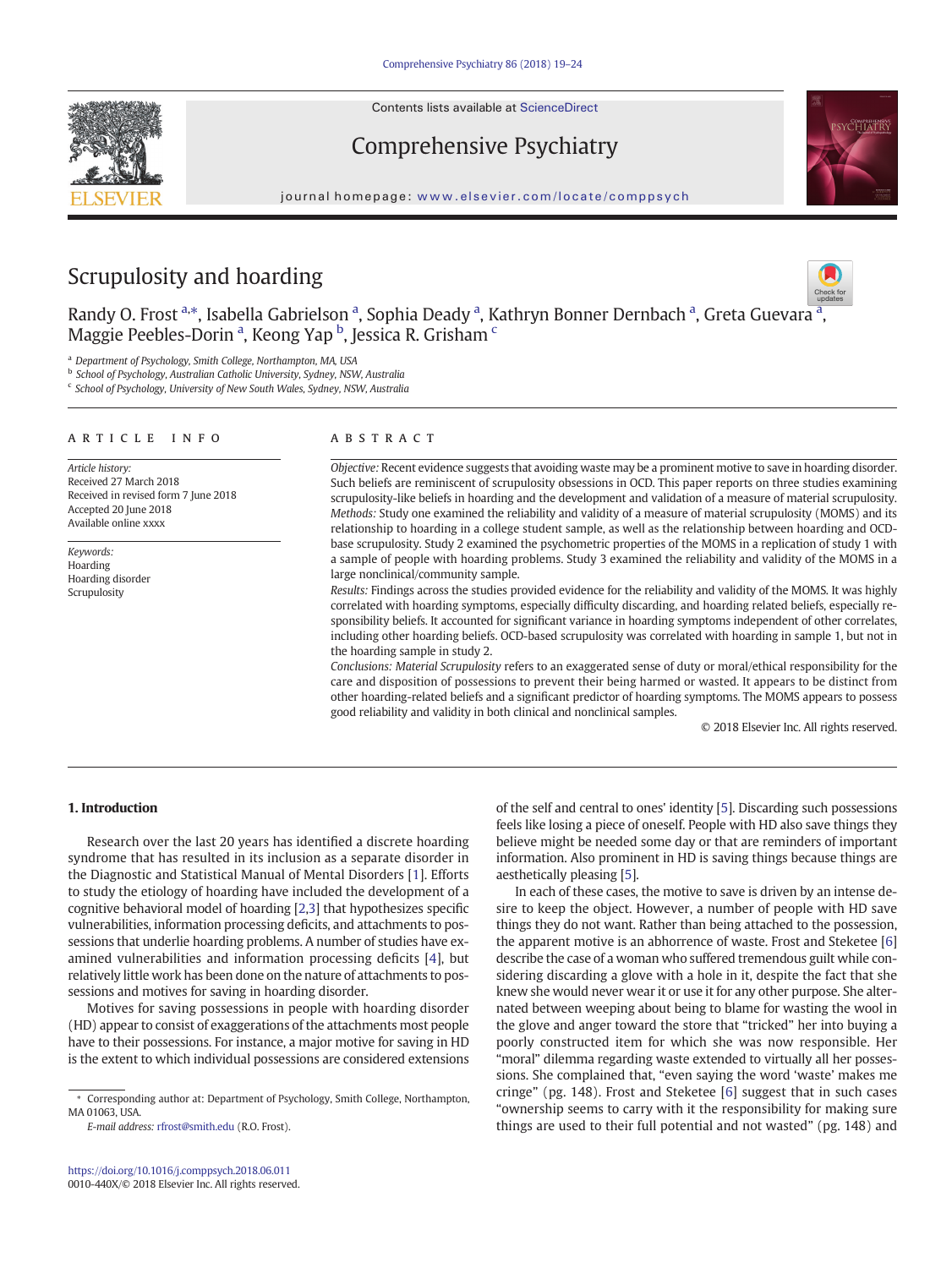Contents lists available at ScienceDirect

# Comprehensive Psychiatry

journal homepage: <www.elsevier.com/locate/comppsych>

# Scrupulosity and hoarding

R[a](http://crossmark.crossref.org/dialog/?doi=10.1016/j.comppsych.2018.06.011&domain=pdf)ndy O. Frost <sup>a,\*</sup>, Isabella Gabrielson <sup>a</sup>, Sophia Deady <sup>a</sup>, Kathryn Bonner Dernbach <sup>a</sup>, Greta Guevara <sup>a</sup> Maggie Peebles-Dorin <sup>a</sup>, Keong Yap <sup>b</sup>, Jessica R. Grisham <sup>c</sup>

<sup>a</sup> Department of Psychology, Smith College, Northampton, MA, USA

**b** School of Psychology, Australian Catholic University, Sydney, NSW, Australia

<sup>c</sup> School of Psychology, University of New South Wales, Sydney, NSW, Australia

### article info abstract

Article history: Received 27 March 2018 Received in revised form 7 June 2018 Accepted 20 June 2018 Available online xxxx

Keywords: Hoarding Hoarding disorder Scrupulosity

Objective: Recent evidence suggests that avoiding waste may be a prominent motive to save in hoarding disorder. Such beliefs are reminiscent of scrupulosity obsessions in OCD. This paper reports on three studies examining scrupulosity-like beliefs in hoarding and the development and validation of a measure of material scrupulosity. Methods: Study one examined the reliability and validity of a measure of material scrupulosity (MOMS) and its relationship to hoarding in a college student sample, as well as the relationship between hoarding and OCDbase scrupulosity. Study 2 examined the psychometric properties of the MOMS in a replication of study 1 with a sample of people with hoarding problems. Study 3 examined the reliability and validity of the MOMS in a large nonclinical/community sample.

Results: Findings across the studies provided evidence for the reliability and validity of the MOMS. It was highly correlated with hoarding symptoms, especially difficulty discarding, and hoarding related beliefs, especially responsibility beliefs. It accounted for significant variance in hoarding symptoms independent of other correlates, including other hoarding beliefs. OCD-based scrupulosity was correlated with hoarding in sample 1, but not in the hoarding sample in study 2.

Conclusions: Material Scrupulosity refers to an exaggerated sense of duty or moral/ethical responsibility for the care and disposition of possessions to prevent their being harmed or wasted. It appears to be distinct from other hoarding-related beliefs and a significant predictor of hoarding symptoms. The MOMS appears to possess good reliability and validity in both clinical and nonclinical samples.

© 2018 Elsevier Inc. All rights reserved.

# 1. Introduction

Research over the last 20 years has identified a discrete hoarding syndrome that has resulted in its inclusion as a separate disorder in the Diagnostic and Statistical Manual of Mental Disorders [\[1\]](#page-5-0). Efforts to study the etiology of hoarding have included the development of a cognitive behavioral model of hoarding [[2,3](#page-5-0)] that hypothesizes specific vulnerabilities, information processing deficits, and attachments to possessions that underlie hoarding problems. A number of studies have examined vulnerabilities and information processing deficits [[4](#page-5-0)], but relatively little work has been done on the nature of attachments to possessions and motives for saving in hoarding disorder.

Motives for saving possessions in people with hoarding disorder (HD) appear to consist of exaggerations of the attachments most people have to their possessions. For instance, a major motive for saving in HD is the extent to which individual possessions are considered extensions

E-mail address: <rfrost@smith.edu> (R.O. Frost).

of the self and central to ones' identity [\[5\]](#page-5-0). Discarding such possessions feels like losing a piece of oneself. People with HD also save things they believe might be needed some day or that are reminders of important information. Also prominent in HD is saving things because things are aesthetically pleasing [\[5](#page-5-0)].

In each of these cases, the motive to save is driven by an intense desire to keep the object. However, a number of people with HD save things they do not want. Rather than being attached to the possession, the apparent motive is an abhorrence of waste. Frost and Steketee [\[6\]](#page-5-0) describe the case of a woman who suffered tremendous guilt while considering discarding a glove with a hole in it, despite the fact that she knew she would never wear it or use it for any other purpose. She alternated between weeping about being to blame for wasting the wool in the glove and anger toward the store that "tricked" her into buying a poorly constructed item for which she was now responsible. Her "moral" dilemma regarding waste extended to virtually all her possessions. She complained that, "even saying the word 'waste' makes me cringe" (pg. 148). Frost and Steketee [[6\]](#page-5-0) suggest that in such cases "ownership seems to carry with it the responsibility for making sure things are used to their full potential and not wasted" (pg. 148) and





,

<sup>⁎</sup> Corresponding author at: Department of Psychology, Smith College, Northampton, MA 01063, USA.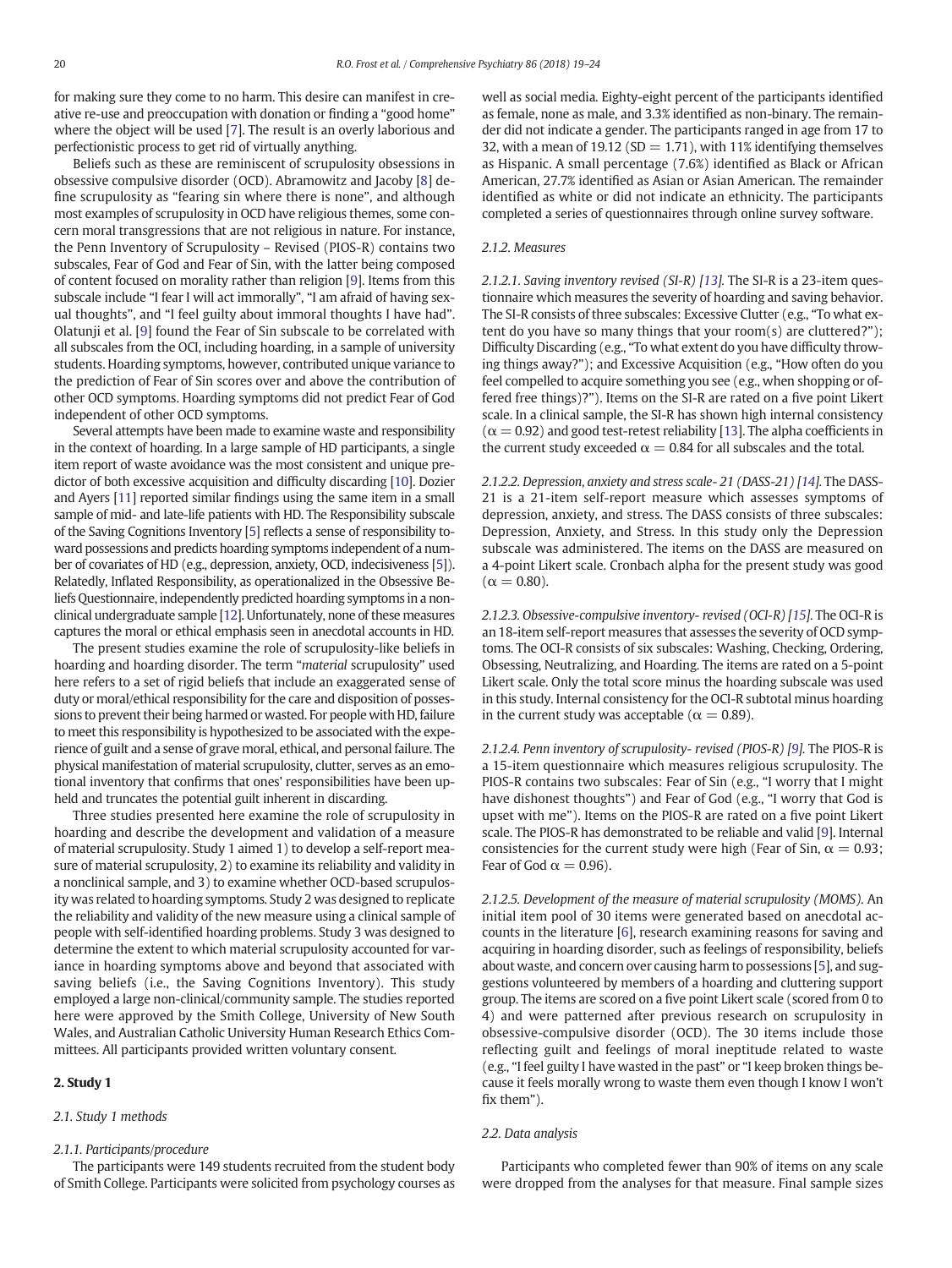for making sure they come to no harm. This desire can manifest in creative re-use and preoccupation with donation or finding a "good home" where the object will be used [\[7\]](#page-5-0). The result is an overly laborious and perfectionistic process to get rid of virtually anything.

Beliefs such as these are reminiscent of scrupulosity obsessions in obsessive compulsive disorder (OCD). Abramowitz and Jacoby [\[8\]](#page-5-0) define scrupulosity as "fearing sin where there is none", and although most examples of scrupulosity in OCD have religious themes, some concern moral transgressions that are not religious in nature. For instance, the Penn Inventory of Scrupulosity – Revised (PIOS-R) contains two subscales, Fear of God and Fear of Sin, with the latter being composed of content focused on morality rather than religion [\[9\]](#page-5-0). Items from this subscale include "I fear I will act immorally", "I am afraid of having sexual thoughts", and "I feel guilty about immoral thoughts I have had". Olatunji et al. [[9](#page-5-0)] found the Fear of Sin subscale to be correlated with all subscales from the OCI, including hoarding, in a sample of university students. Hoarding symptoms, however, contributed unique variance to the prediction of Fear of Sin scores over and above the contribution of other OCD symptoms. Hoarding symptoms did not predict Fear of God independent of other OCD symptoms.

Several attempts have been made to examine waste and responsibility in the context of hoarding. In a large sample of HD participants, a single item report of waste avoidance was the most consistent and unique predictor of both excessive acquisition and difficulty discarding [\[10\]](#page-5-0). Dozier and Ayers [[11\]](#page-5-0) reported similar findings using the same item in a small sample of mid- and late-life patients with HD. The Responsibility subscale of the Saving Cognitions Inventory [\[5](#page-5-0)] reflects a sense of responsibility toward possessions and predicts hoarding symptoms independent of a number of covariates of HD (e.g., depression, anxiety, OCD, indecisiveness [\[5](#page-5-0)]). Relatedly, Inflated Responsibility, as operationalized in the Obsessive Beliefs Questionnaire, independently predicted hoarding symptoms in a nonclinical undergraduate sample [\[12](#page-5-0)]. Unfortunately, none of these measures captures the moral or ethical emphasis seen in anecdotal accounts in HD.

The present studies examine the role of scrupulosity-like beliefs in hoarding and hoarding disorder. The term "material scrupulosity" used here refers to a set of rigid beliefs that include an exaggerated sense of duty or moral/ethical responsibility for the care and disposition of possessions to prevent their being harmed or wasted. For people with HD, failure to meet this responsibility is hypothesized to be associated with the experience of guilt and a sense of grave moral, ethical, and personal failure. The physical manifestation of material scrupulosity, clutter, serves as an emotional inventory that confirms that ones' responsibilities have been upheld and truncates the potential guilt inherent in discarding.

Three studies presented here examine the role of scrupulosity in hoarding and describe the development and validation of a measure of material scrupulosity. Study 1 aimed 1) to develop a self-report measure of material scrupulosity, 2) to examine its reliability and validity in a nonclinical sample, and 3) to examine whether OCD-based scrupulosity was related to hoarding symptoms. Study 2 was designed to replicate the reliability and validity of the new measure using a clinical sample of people with self-identified hoarding problems. Study 3 was designed to determine the extent to which material scrupulosity accounted for variance in hoarding symptoms above and beyond that associated with saving beliefs (i.e., the Saving Cognitions Inventory). This study employed a large non-clinical/community sample. The studies reported here were approved by the Smith College, University of New South Wales, and Australian Catholic University Human Research Ethics Committees. All participants provided written voluntary consent.

#### 2. Study 1

### 2.1. Study 1 methods

#### 2.1.1. Participants/procedure

The participants were 149 students recruited from the student body of Smith College. Participants were solicited from psychology courses as well as social media. Eighty-eight percent of the participants identified as female, none as male, and 3.3% identified as non-binary. The remainder did not indicate a gender. The participants ranged in age from 17 to 32, with a mean of 19.12 ( $SD = 1.71$ ), with 11% identifying themselves as Hispanic. A small percentage (7.6%) identified as Black or African American, 27.7% identified as Asian or Asian American. The remainder identified as white or did not indicate an ethnicity. The participants completed a series of questionnaires through online survey software.

## 2.1.2. Measures

2.1.2.1. Saving inventory revised (SI-R) [[13](#page-5-0)]. The SI-R is a 23-item questionnaire which measures the severity of hoarding and saving behavior. The SI-R consists of three subscales: Excessive Clutter (e.g., "To what extent do you have so many things that your room(s) are cluttered?"); Difficulty Discarding (e.g., "To what extent do you have difficulty throwing things away?"); and Excessive Acquisition (e.g., "How often do you feel compelled to acquire something you see (e.g., when shopping or offered free things)?"). Items on the SI-R are rated on a five point Likert scale. In a clinical sample, the SI-R has shown high internal consistency  $(\alpha = 0.92)$  and good test-retest reliability [\[13\]](#page-5-0). The alpha coefficients in the current study exceeded  $\alpha = 0.84$  for all subscales and the total.

2.1.2.2. Depression, anxiety and stress scale- 21 (DASS-21) [[14](#page-5-0)]. The DASS-21 is a 21-item self-report measure which assesses symptoms of depression, anxiety, and stress. The DASS consists of three subscales: Depression, Anxiety, and Stress. In this study only the Depression subscale was administered. The items on the DASS are measured on a 4-point Likert scale. Cronbach alpha for the present study was good  $(\alpha = 0.80)$ .

2.1.2.3. Obsessive-compulsive inventory- revised (OCI-R) [\[15\]](#page-5-0). The OCI-R is an 18-item self-report measures that assesses the severity of OCD symptoms. The OCI-R consists of six subscales: Washing, Checking, Ordering, Obsessing, Neutralizing, and Hoarding. The items are rated on a 5-point Likert scale. Only the total score minus the hoarding subscale was used in this study. Internal consistency for the OCI-R subtotal minus hoarding in the current study was acceptable ( $\alpha = 0.89$ ).

2.1.2.4. Penn inventory of scrupulosity- revised (PIOS-R) [\[9\]](#page-5-0). The PIOS-R is a 15-item questionnaire which measures religious scrupulosity. The PIOS-R contains two subscales: Fear of Sin (e.g., "I worry that I might have dishonest thoughts") and Fear of God (e.g., "I worry that God is upset with me"). Items on the PIOS-R are rated on a five point Likert scale. The PIOS-R has demonstrated to be reliable and valid [\[9](#page-5-0)]. Internal consistencies for the current study were high (Fear of Sin,  $\alpha = 0.93$ ; Fear of God  $\alpha = 0.96$ ).

2.1.2.5. Development of the measure of material scrupulosity (MOMS). An initial item pool of 30 items were generated based on anecdotal accounts in the literature [[6](#page-5-0)], research examining reasons for saving and acquiring in hoarding disorder, such as feelings of responsibility, beliefs about waste, and concern over causing harm to possessions [\[5\]](#page-5-0), and suggestions volunteered by members of a hoarding and cluttering support group. The items are scored on a five point Likert scale (scored from 0 to 4) and were patterned after previous research on scrupulosity in obsessive-compulsive disorder (OCD). The 30 items include those reflecting guilt and feelings of moral ineptitude related to waste (e.g., "I feel guilty I have wasted in the past" or "I keep broken things because it feels morally wrong to waste them even though I know I won't fix them").

### 2.2. Data analysis

Participants who completed fewer than 90% of items on any scale were dropped from the analyses for that measure. Final sample sizes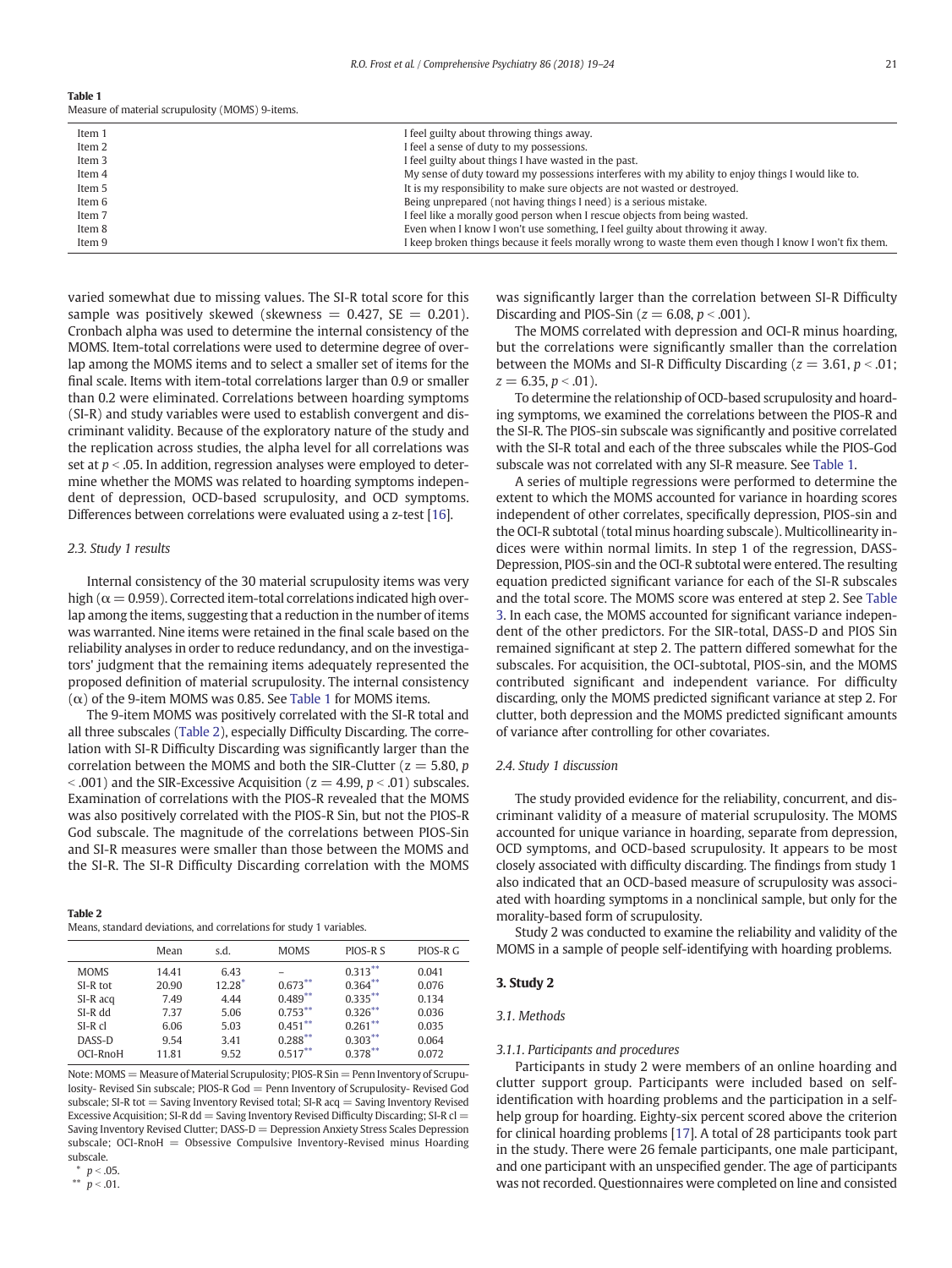| Table 1                                          |  |
|--------------------------------------------------|--|
| Measure of material scrupulosity (MOMS) 9-items. |  |

| Item 1 | I feel guilty about throwing things away.                                                              |
|--------|--------------------------------------------------------------------------------------------------------|
| Item 2 | I feel a sense of duty to my possessions.                                                              |
| Item 3 | I feel guilty about things I have wasted in the past.                                                  |
| Item 4 | My sense of duty toward my possessions interferes with my ability to enjoy things I would like to.     |
| Item 5 | It is my responsibility to make sure objects are not wasted or destroyed.                              |
| Item 6 | Being unprepared (not having things I need) is a serious mistake.                                      |
| Item 7 | I feel like a morally good person when I rescue objects from being wasted.                             |
| Item 8 | Even when I know I won't use something, I feel guilty about throwing it away.                          |
| Item 9 | I keep broken things because it feels morally wrong to waste them even though I know I won't fix them. |
|        |                                                                                                        |

varied somewhat due to missing values. The SI-R total score for this sample was positively skewed (skewness  $= 0.427$ , SE  $= 0.201$ ). Cronbach alpha was used to determine the internal consistency of the MOMS. Item-total correlations were used to determine degree of overlap among the MOMS items and to select a smaller set of items for the final scale. Items with item-total correlations larger than 0.9 or smaller than 0.2 were eliminated. Correlations between hoarding symptoms (SI-R) and study variables were used to establish convergent and discriminant validity. Because of the exploratory nature of the study and the replication across studies, the alpha level for all correlations was set at  $p < .05$ . In addition, regression analyses were employed to determine whether the MOMS was related to hoarding symptoms independent of depression, OCD-based scrupulosity, and OCD symptoms. Differences between correlations were evaluated using a z-test [\[16](#page-5-0)].

#### 2.3. Study 1 results

Internal consistency of the 30 material scrupulosity items was very high ( $\alpha$  = 0.959). Corrected item-total correlations indicated high overlap among the items, suggesting that a reduction in the number of items was warranted. Nine items were retained in the final scale based on the reliability analyses in order to reduce redundancy, and on the investigators' judgment that the remaining items adequately represented the proposed definition of material scrupulosity. The internal consistency (α) of the 9-item MOMS was 0.85. See Table 1 for MOMS items.

The 9-item MOMS was positively correlated with the SI-R total and all three subscales (Table 2), especially Difficulty Discarding. The correlation with SI-R Difficulty Discarding was significantly larger than the correlation between the MOMS and both the SIR-Clutter ( $z = 5.80$ , p  $\le$  .001) and the SIR-Excessive Acquisition ( $z = 4.99$ ,  $p \le$  .01) subscales. Examination of correlations with the PIOS-R revealed that the MOMS was also positively correlated with the PIOS-R Sin, but not the PIOS-R God subscale. The magnitude of the correlations between PIOS-Sin and SI-R measures were smaller than those between the MOMS and the SI-R. The SI-R Difficulty Discarding correlation with the MOMS

Table 2 Means, standard deviations, and correlations for study 1 variables.

|             | Mean  | s.d.     | <b>MOMS</b> | PIOS-R S   | PIOS-R G |  |
|-------------|-------|----------|-------------|------------|----------|--|
| <b>MOMS</b> | 14.41 | 6.43     |             | $0.313***$ | 0.041    |  |
| $SI-R$ tot  | 20.90 | $12.28*$ | $0.673***$  | $0.364***$ | 0.076    |  |
| SI-R acq    | 7.49  | 4.44     | $0.489**$   | $0.335***$ | 0.134    |  |
| $SI-R$ dd   | 7.37  | 5.06     | $0.753***$  | $0.326***$ | 0.036    |  |
| $SI-Rcl$    | 6.06  | 5.03     | $0.451***$  | $0.261***$ | 0.035    |  |
| DASS-D      | 9.54  | 3.41     | $0.288***$  | $0.303***$ | 0.064    |  |
| OCI-RnoH    | 11.81 | 9.52     | $0.517***$  | $0.378***$ | 0.072    |  |

Note: MOMS = Measure of Material Scrupulosity; PIOS-R Sin= Penn Inventory of Scrupulosity- Revised Sin subscale; PIOS-R God = Penn Inventory of Scrupulosity- Revised God subscale; SI-R tot  $=$  Saving Inventory Revised total; SI-R acq  $=$  Saving Inventory Revised Excessive Acquisition; SI-R dd = Saving Inventory Revised Difficulty Discarding; SI-R cl = Saving Inventory Revised Clutter:  $DASS-D =$  Depression Anxiety Stress Scales Depression subscale; OCI-RnoH = Obsessive Compulsive Inventory-Revised minus Hoarding subscale.

\*\*  $p < .01$ .

was significantly larger than the correlation between SI-R Difficulty Discarding and PIOS-Sin ( $z = 6.08$ ,  $p < .001$ ).

The MOMS correlated with depression and OCI-R minus hoarding, but the correlations were significantly smaller than the correlation between the MOMs and SI-R Difficulty Discarding ( $z = 3.61$ ,  $p < .01$ ;  $z = 6.35$ ,  $p < .01$ ).

To determine the relationship of OCD-based scrupulosity and hoarding symptoms, we examined the correlations between the PIOS-R and the SI-R. The PIOS-sin subscale was significantly and positive correlated with the SI-R total and each of the three subscales while the PIOS-God subscale was not correlated with any SI-R measure. See Table 1.

A series of multiple regressions were performed to determine the extent to which the MOMS accounted for variance in hoarding scores independent of other correlates, specifically depression, PIOS-sin and the OCI-R subtotal (total minus hoarding subscale). Multicollinearity indices were within normal limits. In step 1 of the regression, DASS-Depression, PIOS-sin and the OCI-R subtotal were entered. The resulting equation predicted significant variance for each of the SI-R subscales and the total score. The MOMS score was entered at step 2. See [Table](#page-3-0) [3.](#page-3-0) In each case, the MOMS accounted for significant variance independent of the other predictors. For the SIR-total, DASS-D and PIOS Sin remained significant at step 2. The pattern differed somewhat for the subscales. For acquisition, the OCI-subtotal, PIOS-sin, and the MOMS contributed significant and independent variance. For difficulty discarding, only the MOMS predicted significant variance at step 2. For clutter, both depression and the MOMS predicted significant amounts of variance after controlling for other covariates.

#### 2.4. Study 1 discussion

The study provided evidence for the reliability, concurrent, and discriminant validity of a measure of material scrupulosity. The MOMS accounted for unique variance in hoarding, separate from depression, OCD symptoms, and OCD-based scrupulosity. It appears to be most closely associated with difficulty discarding. The findings from study 1 also indicated that an OCD-based measure of scrupulosity was associated with hoarding symptoms in a nonclinical sample, but only for the morality-based form of scrupulosity.

Study 2 was conducted to examine the reliability and validity of the MOMS in a sample of people self-identifying with hoarding problems.

#### 3. Study 2

#### 3.1. Methods

#### 3.1.1. Participants and procedures

Participants in study 2 were members of an online hoarding and clutter support group. Participants were included based on selfidentification with hoarding problems and the participation in a selfhelp group for hoarding. Eighty-six percent scored above the criterion for clinical hoarding problems [[17\]](#page-5-0). A total of 28 participants took part in the study. There were 26 female participants, one male participant, and one participant with an unspecified gender. The age of participants was not recorded. Questionnaires were completed on line and consisted

 $p < .05$ .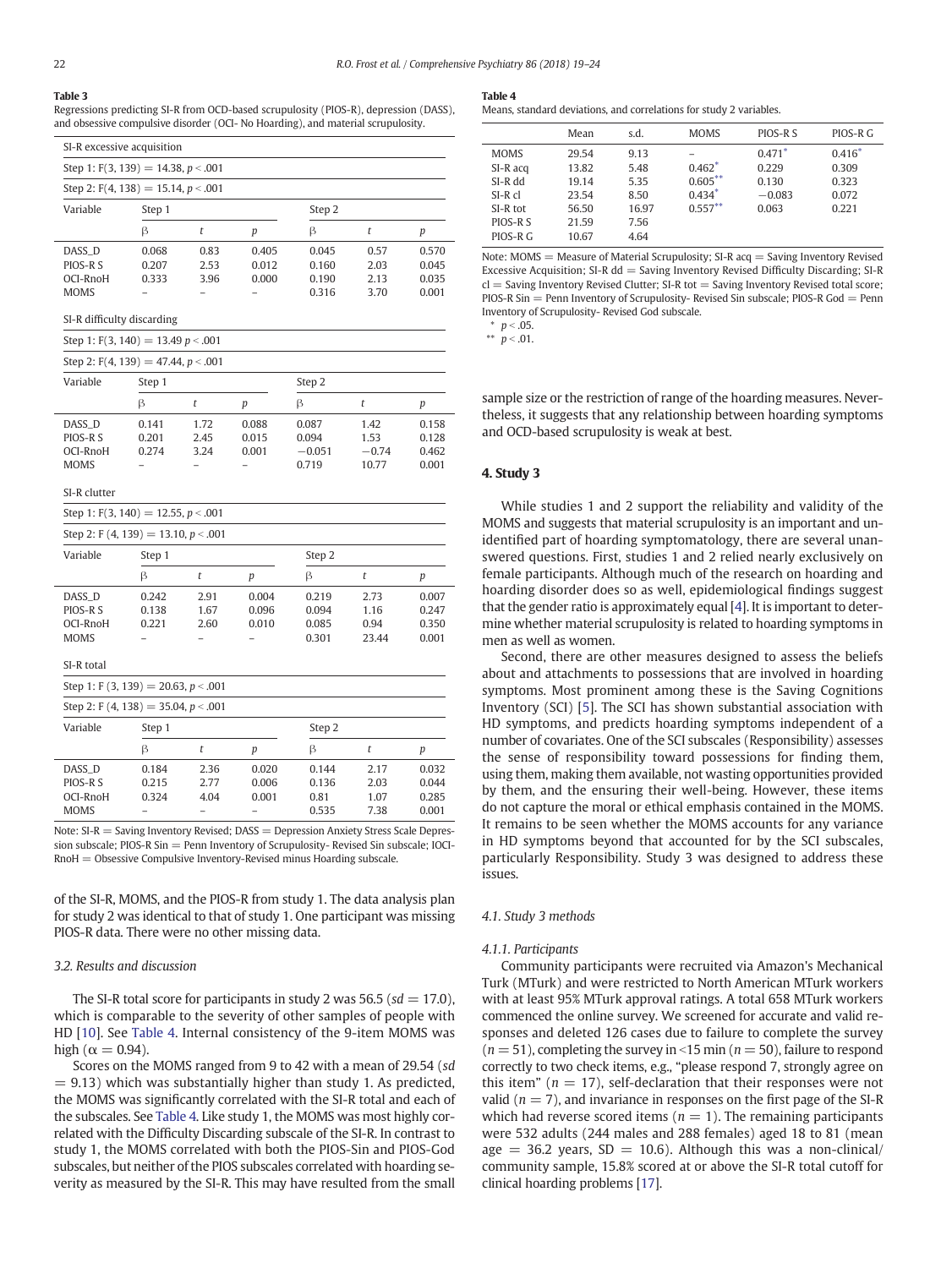#### <span id="page-3-0"></span>Table 3

Regressions predicting SI-R from OCD-based scrupulosity (PIOS-R), depression (DASS), and obsessive compulsive disorder (OCI- No Hoarding), and material scrupulosity.

| SI-R excessive acquisition                    |                                          |                      |                         |                         |                      |                         |  |  |  |
|-----------------------------------------------|------------------------------------------|----------------------|-------------------------|-------------------------|----------------------|-------------------------|--|--|--|
| Step 1: $F(3, 139) = 14.38$ , $p < .001$      |                                          |                      |                         |                         |                      |                         |  |  |  |
|                                               | Step 2: $F(4, 138) = 15.14$ , $p < .001$ |                      |                         |                         |                      |                         |  |  |  |
| Variable                                      | Step 1                                   |                      |                         | Step 2                  |                      |                         |  |  |  |
|                                               | ß                                        |                      | p                       | ß                       |                      | n                       |  |  |  |
| DASS D<br>PIOS-R S<br>OCI-RnoH<br><b>MOMS</b> | 0.068<br>0.207<br>0.333                  | 0.83<br>2.53<br>3.96 | 0.405<br>0.012<br>0.000 | 0.045<br>0.160<br>0.190 | 0.57<br>2.03<br>2.13 | 0.570<br>0.045<br>0.035 |  |  |  |

SI-R difficulty discarding

Step 1: F(3, 140) = 13.49  $p < .001$ 

|             | Step 2: $F(4, 139) = 47.44$ , $p < .001$ |      |       |          |         |       |  |  |  |
|-------------|------------------------------------------|------|-------|----------|---------|-------|--|--|--|
| Variable    | Step 1                                   |      |       | Step 2   |         |       |  |  |  |
|             | ß                                        |      | р     | ß        |         | р     |  |  |  |
| DASS D      | 0.141                                    | 1.72 | 0.088 | 0.087    | 1.42    | 0.158 |  |  |  |
| PIOS-R S    | 0.201                                    | 2.45 | 0.015 | 0.094    | 1.53    | 0.128 |  |  |  |
| OCI-RnoH    | 0.274                                    | 3.24 | 0.001 | $-0.051$ | $-0.74$ | 0.462 |  |  |  |
| <b>MOMS</b> |                                          |      |       | 0.719    | 10.77   | 0.001 |  |  |  |

SI-R clutter

Step 1:  $F(3, 140) = 12.55$ ,  $p < .001$ 

| Step 2: F (4, 139) = 13.10, $p < .001$                      |                         |                      |                         |                                  |                               |                                  |  |
|-------------------------------------------------------------|-------------------------|----------------------|-------------------------|----------------------------------|-------------------------------|----------------------------------|--|
| Variable                                                    | Step 1                  |                      |                         |                                  | Step 2                        |                                  |  |
|                                                             | β                       | t                    | $\boldsymbol{p}$        | β                                | t                             | p                                |  |
| DASS_D<br>PIOS-R S<br>OCI-RnoH<br><b>MOMS</b><br>SI-R total | 0.242<br>0.138<br>0.221 | 2.91<br>1.67<br>2.60 | 0.004<br>0.096<br>0.010 | 0.219<br>0.094<br>0.085<br>0.301 | 2.73<br>1.16<br>0.94<br>23.44 | 0.007<br>0.247<br>0.350<br>0.001 |  |
| Step 1: F $(3, 139) = 20.63$ , $p < .001$                   |                         |                      |                         |                                  |                               |                                  |  |
| Step 2: F (4, 138) = 35.04, $p < .001$                      |                         |                      |                         |                                  |                               |                                  |  |
| Variable                                                    | Step 1                  |                      |                         | Step 2                           |                               |                                  |  |
|                                                             | β                       | t                    | p                       | β                                | t                             | p                                |  |
| DASS_D<br>PIOS-R S<br>OCI-RnoH<br><b>MOMS</b>               | 0.184<br>0.215<br>0.324 | 2.36<br>2.77<br>4.04 | 0.020<br>0.006<br>0.001 | 0.144<br>0.136<br>0.81<br>0.535  | 2.17<br>2.03<br>1.07<br>7.38  | 0.032<br>0.044<br>0.285<br>0.001 |  |

Note:  $SI-R =$  Saving Inventory Revised;  $DASS =$  Depression Anxiety Stress Scale Depression subscale; PIOS-R Sin = Penn Inventory of Scrupulosity- Revised Sin subscale; IOCI- $RnoH = Obsessive Compulse Inventory-Revised minus Hoarding subscale.$ 

of the SI-R, MOMS, and the PIOS-R from study 1. The data analysis plan for study 2 was identical to that of study 1. One participant was missing PIOS-R data. There were no other missing data.

#### 3.2. Results and discussion

The SI-R total score for participants in study 2 was 56.5 ( $sd = 17.0$ ), which is comparable to the severity of other samples of people with HD [[10](#page-5-0)]. See Table 4. Internal consistency of the 9-item MOMS was high ( $\alpha = 0.94$ ).

Scores on the MOMS ranged from 9 to 42 with a mean of 29.54 (sd  $= 9.13$ ) which was substantially higher than study 1. As predicted, the MOMS was significantly correlated with the SI-R total and each of the subscales. See Table 4. Like study 1, the MOMS was most highly correlated with the Difficulty Discarding subscale of the SI-R. In contrast to study 1, the MOMS correlated with both the PIOS-Sin and PIOS-God subscales, but neither of the PIOS subscales correlated with hoarding severity as measured by the SI-R. This may have resulted from the small

#### Table 4

Means, standard deviations, and correlations for study 2 variables.

|                                                                                             | Mean                                                        | s.d.                                                  | <b>MOMS</b>                                      | PIOS-R S                                        | PIOS-R G                                     |
|---------------------------------------------------------------------------------------------|-------------------------------------------------------------|-------------------------------------------------------|--------------------------------------------------|-------------------------------------------------|----------------------------------------------|
| <b>MOMS</b><br>$SI-R$ acq<br>$SI-R$ dd<br>$SI-R$ $cl$<br>$SI-R$ tot<br>PIOS-R S<br>PIOS-R G | 29.54<br>13.82<br>19.14<br>23.54<br>56.50<br>21.59<br>10.67 | 9.13<br>5.48<br>5.35<br>8.50<br>16.97<br>7.56<br>4.64 | $0.462*$<br>$0.605***$<br>$0.434*$<br>$0.557***$ | $0.471*$<br>0.229<br>0.130<br>$-0.083$<br>0.063 | $0.416*$<br>0.309<br>0.323<br>0.072<br>0.221 |

Note: MOMS = Measure of Material Scrupulosity; SI-R acq = Saving Inventory Revised Excessive Acquisition;  $SL-R$  dd = Saving Inventory Revised Difficulty Discarding;  $SL-R$  $cl =$  Saving Inventory Revised Clutter; SI-R tot = Saving Inventory Revised total score; PIOS-R Sin = Penn Inventory of Scrupulosity- Revised Sin subscale; PIOS-R God = Penn Inventory of Scrupulosity- Revised God subscale.

 $p < .05$ .

\*\*  $p < .01$ .

sample size or the restriction of range of the hoarding measures. Nevertheless, it suggests that any relationship between hoarding symptoms and OCD-based scrupulosity is weak at best.

#### 4. Study 3

While studies 1 and 2 support the reliability and validity of the MOMS and suggests that material scrupulosity is an important and unidentified part of hoarding symptomatology, there are several unanswered questions. First, studies 1 and 2 relied nearly exclusively on female participants. Although much of the research on hoarding and hoarding disorder does so as well, epidemiological findings suggest that the gender ratio is approximately equal [[4](#page-5-0)]. It is important to determine whether material scrupulosity is related to hoarding symptoms in men as well as women.

Second, there are other measures designed to assess the beliefs about and attachments to possessions that are involved in hoarding symptoms. Most prominent among these is the Saving Cognitions Inventory (SCI) [\[5](#page-5-0)]. The SCI has shown substantial association with HD symptoms, and predicts hoarding symptoms independent of a number of covariates. One of the SCI subscales (Responsibility) assesses the sense of responsibility toward possessions for finding them, using them, making them available, not wasting opportunities provided by them, and the ensuring their well-being. However, these items do not capture the moral or ethical emphasis contained in the MOMS. It remains to be seen whether the MOMS accounts for any variance in HD symptoms beyond that accounted for by the SCI subscales, particularly Responsibility. Study 3 was designed to address these issues.

### 4.1. Study 3 methods

#### 4.1.1. Participants

Community participants were recruited via Amazon's Mechanical Turk (MTurk) and were restricted to North American MTurk workers with at least 95% MTurk approval ratings. A total 658 MTurk workers commenced the online survey. We screened for accurate and valid responses and deleted 126 cases due to failure to complete the survey  $(n = 51)$ , completing the survey in <15 min ( $n = 50$ ), failure to respond correctly to two check items, e.g., "please respond 7, strongly agree on this item" ( $n = 17$ ), self-declaration that their responses were not valid ( $n = 7$ ), and invariance in responses on the first page of the SI-R which had reverse scored items ( $n = 1$ ). The remaining participants were 532 adults (244 males and 288 females) aged 18 to 81 (mean age  $= 36.2$  years, SD  $= 10.6$ ). Although this was a non-clinical/ community sample, 15.8% scored at or above the SI-R total cutoff for clinical hoarding problems [\[17\]](#page-5-0).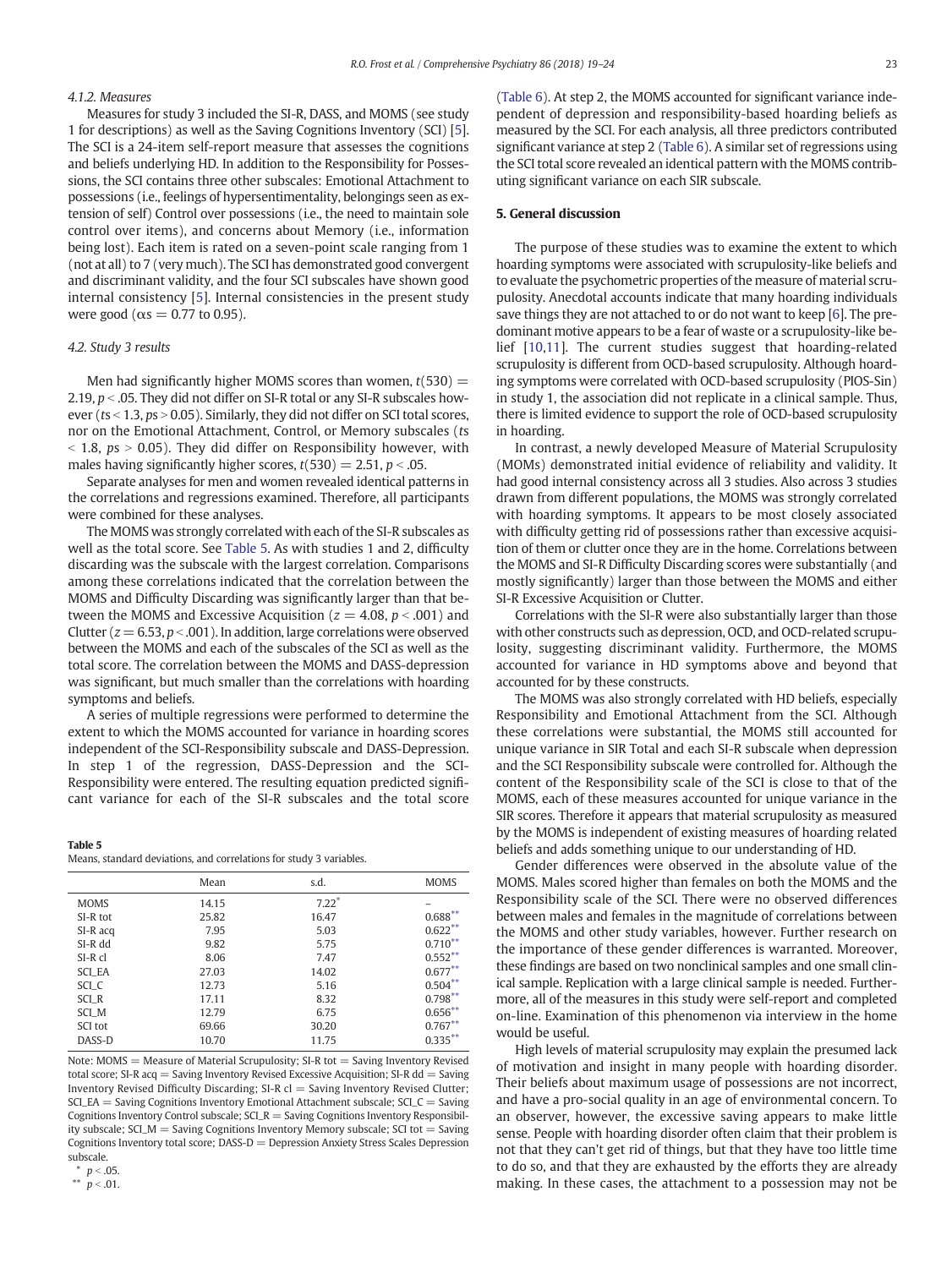# 4.1.2. Measures

Measures for study 3 included the SI-R, DASS, and MOMS (see study 1 for descriptions) as well as the Saving Cognitions Inventory (SCI) [[5](#page-5-0)]. The SCI is a 24-item self-report measure that assesses the cognitions and beliefs underlying HD. In addition to the Responsibility for Possessions, the SCI contains three other subscales: Emotional Attachment to possessions (i.e., feelings of hypersentimentality, belongings seen as extension of self) Control over possessions (i.e., the need to maintain sole control over items), and concerns about Memory (i.e., information being lost). Each item is rated on a seven-point scale ranging from 1 (not at all) to 7 (very much). The SCI has demonstrated good convergent and discriminant validity, and the four SCI subscales have shown good internal consistency [[5](#page-5-0)]. Internal consistencies in the present study were good ( $\alpha s = 0.77$  to 0.95).

#### 4.2. Study 3 results

Men had significantly higher MOMS scores than women,  $t(530)$  = 2.19,  $p < 0.05$ . They did not differ on SI-R total or any SI-R subscales however ( $ts < 1.3$ ,  $ps > 0.05$ ). Similarly, they did not differ on SCI total scores, nor on the Emotional Attachment, Control, or Memory subscales (ts  $\epsilon$  1.8, ps  $> 0.05$ ). They did differ on Responsibility however, with males having significantly higher scores,  $t(530) = 2.51$ ,  $p < .05$ .

Separate analyses for men and women revealed identical patterns in the correlations and regressions examined. Therefore, all participants were combined for these analyses.

The MOMS was strongly correlated with each of the SI-R subscales as well as the total score. See Table 5. As with studies 1 and 2, difficulty discarding was the subscale with the largest correlation. Comparisons among these correlations indicated that the correlation between the MOMS and Difficulty Discarding was significantly larger than that between the MOMS and Excessive Acquisition ( $z = 4.08$ ,  $p < .001$ ) and Clutter ( $z = 6.53$ ,  $p < .001$ ). In addition, large correlations were observed between the MOMS and each of the subscales of the SCI as well as the total score. The correlation between the MOMS and DASS-depression was significant, but much smaller than the correlations with hoarding symptoms and beliefs.

A series of multiple regressions were performed to determine the extent to which the MOMS accounted for variance in hoarding scores independent of the SCI-Responsibility subscale and DASS-Depression. In step 1 of the regression, DASS-Depression and the SCI-Responsibility were entered. The resulting equation predicted significant variance for each of the SI-R subscales and the total score

#### Table 5

Means, standard deviations, and correlations for study 3 variables.

|             | Mean  | s.d.    | <b>MOMS</b> |
|-------------|-------|---------|-------------|
| <b>MOMS</b> | 14.15 | $7.22*$ |             |
| SI-R tot    | 25.82 | 16.47   | $0.688***$  |
| SI-R acq    | 7.95  | 5.03    | $0.622***$  |
| SI-R dd     | 9.82  | 5.75    | $0.710***$  |
| SI-R cl     | 8.06  | 7.47    | $0.552***$  |
| SCI EA      | 27.03 | 14.02   | $0.677***$  |
| SCI_C       | 12.73 | 5.16    | $0.504***$  |
| SCI R       | 17.11 | 8.32    | $0.798***$  |
| SCI_M       | 12.79 | 6.75    | $0.656***$  |
| SCI tot     | 69.66 | 30.20   | $0.767***$  |
| DASS-D      | 10.70 | 11.75   | $0.335***$  |

Note:  $MOMS =$  Measure of Material Scrupulosity; SI-R tot  $=$  Saving Inventory Revised total score; SI-R acq  $=$  Saving Inventory Revised Excessive Acquisition; SI-R dd  $=$  Saving Inventory Revised Difficulty Discarding;  $SI-R$  cl = Saving Inventory Revised Clutter; SCI\_EA = Saving Cognitions Inventory Emotional Attachment subscale; SCI\_C = Saving Cognitions Inventory Control subscale;  $SCI_R =$  Saving Cognitions Inventory Responsibility subscale; SCI  $M =$  Saving Cognitions Inventory Memory subscale; SCI tot  $=$  Saving Cognitions Inventory total score; DASS-D = Depression Anxiety Stress Scales Depression subscale.

\*\*  $p < .01$ .

[\(Table 6](#page-5-0)). At step 2, the MOMS accounted for significant variance independent of depression and responsibility-based hoarding beliefs as measured by the SCI. For each analysis, all three predictors contributed significant variance at step 2 [\(Table 6](#page-5-0)). A similar set of regressions using the SCI total score revealed an identical pattern with the MOMS contributing significant variance on each SIR subscale.

# 5. General discussion

The purpose of these studies was to examine the extent to which hoarding symptoms were associated with scrupulosity-like beliefs and to evaluate the psychometric properties of the measure of material scrupulosity. Anecdotal accounts indicate that many hoarding individuals save things they are not attached to or do not want to keep [\[6](#page-5-0)]. The predominant motive appears to be a fear of waste or a scrupulosity-like belief [[10,11\]](#page-5-0). The current studies suggest that hoarding-related scrupulosity is different from OCD-based scrupulosity. Although hoarding symptoms were correlated with OCD-based scrupulosity (PIOS-Sin) in study 1, the association did not replicate in a clinical sample. Thus, there is limited evidence to support the role of OCD-based scrupulosity in hoarding.

In contrast, a newly developed Measure of Material Scrupulosity (MOMs) demonstrated initial evidence of reliability and validity. It had good internal consistency across all 3 studies. Also across 3 studies drawn from different populations, the MOMS was strongly correlated with hoarding symptoms. It appears to be most closely associated with difficulty getting rid of possessions rather than excessive acquisition of them or clutter once they are in the home. Correlations between the MOMS and SI-R Difficulty Discarding scores were substantially (and mostly significantly) larger than those between the MOMS and either SI-R Excessive Acquisition or Clutter.

Correlations with the SI-R were also substantially larger than those with other constructs such as depression, OCD, and OCD-related scrupulosity, suggesting discriminant validity. Furthermore, the MOMS accounted for variance in HD symptoms above and beyond that accounted for by these constructs.

The MOMS was also strongly correlated with HD beliefs, especially Responsibility and Emotional Attachment from the SCI. Although these correlations were substantial, the MOMS still accounted for unique variance in SIR Total and each SI-R subscale when depression and the SCI Responsibility subscale were controlled for. Although the content of the Responsibility scale of the SCI is close to that of the MOMS, each of these measures accounted for unique variance in the SIR scores. Therefore it appears that material scrupulosity as measured by the MOMS is independent of existing measures of hoarding related beliefs and adds something unique to our understanding of HD.

Gender differences were observed in the absolute value of the MOMS. Males scored higher than females on both the MOMS and the Responsibility scale of the SCI. There were no observed differences between males and females in the magnitude of correlations between the MOMS and other study variables, however. Further research on the importance of these gender differences is warranted. Moreover, these findings are based on two nonclinical samples and one small clinical sample. Replication with a large clinical sample is needed. Furthermore, all of the measures in this study were self-report and completed on-line. Examination of this phenomenon via interview in the home would be useful.

High levels of material scrupulosity may explain the presumed lack of motivation and insight in many people with hoarding disorder. Their beliefs about maximum usage of possessions are not incorrect, and have a pro-social quality in an age of environmental concern. To an observer, however, the excessive saving appears to make little sense. People with hoarding disorder often claim that their problem is not that they can't get rid of things, but that they have too little time to do so, and that they are exhausted by the efforts they are already making. In these cases, the attachment to a possession may not be

 $p < .05$ .